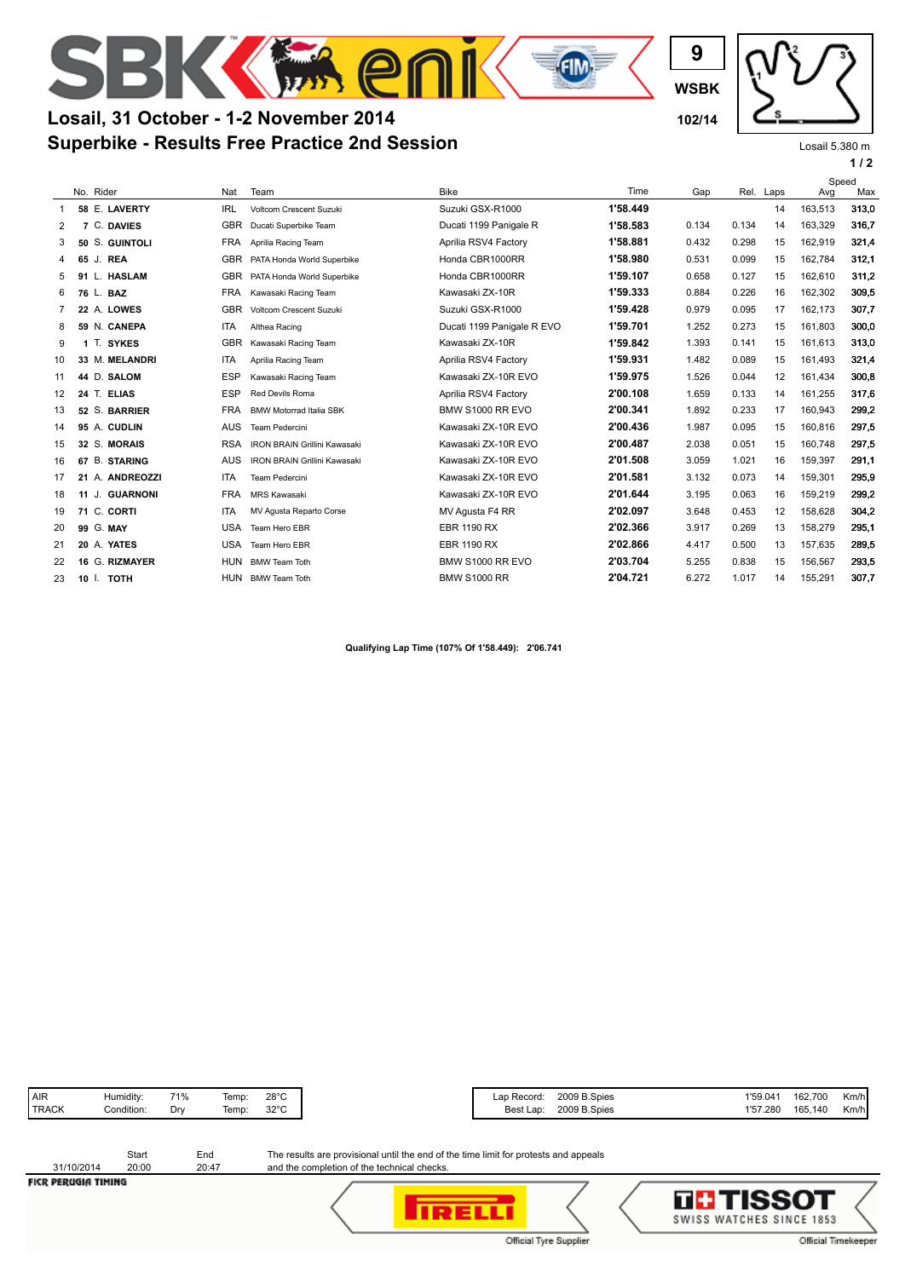## **Superbike - Results Free Practice 2nd Session Losail, 31 October - 1-2 November 2014 102/14**

لأفرق

 $\sqrt{\rho}$ 

**WSBK**

**9**

**FIM** 



Losail 5.380 m

**1 / 2**

|                | No. Rider                 | Nat        | Team                                | <b>Bike</b>                | Time     | Gap   | Rel.  | Laps | Speed<br>Avg | Max   |
|----------------|---------------------------|------------|-------------------------------------|----------------------------|----------|-------|-------|------|--------------|-------|
|                | 58 E. LAVERTY             | IRL        | Voltcom Crescent Suzuki             | Suzuki GSX-R1000           | 1'58.449 |       |       | 14   | 163,513      | 313.0 |
| 2              | 7 C. DAVIES               | <b>GBR</b> | Ducati Superbike Team               | Ducati 1199 Panigale R     | 1'58.583 | 0.134 | 0.134 | 14   | 163,329      | 316,7 |
| 3              | 50 S. GUINTOLI            | <b>FRA</b> | Aprilia Racing Team                 | Aprilia RSV4 Factory       | 1'58.881 | 0.432 | 0.298 | 15   | 162,919      | 321,4 |
| 4              | 65<br>J. REA              | <b>GBR</b> | PATA Honda World Superbike          | Honda CBR1000RR            | 1'58.980 | 0.531 | 0.099 | 15   | 162,784      | 312.1 |
| 5              | <b>HASLAM</b><br>91<br>L. | <b>GBR</b> | PATA Honda World Superbike          | Honda CBR1000RR            | 1'59.107 | 0.658 | 0.127 | 15   | 162.610      | 311.2 |
| 6              | 76<br><b>BAZ</b><br>L.    | <b>FRA</b> | Kawasaki Racing Team                | Kawasaki ZX-10R            | 1'59.333 | 0.884 | 0.226 | 16   | 162,302      | 309.5 |
| $\overline{7}$ | 22 A. LOWES               | <b>GBR</b> | Voltcom Crescent Suzuki             | Suzuki GSX-R1000           | 1'59.428 | 0.979 | 0.095 | 17   | 162.173      | 307,7 |
| 8              | 59 N. CANEPA              | <b>ITA</b> | Althea Racing                       | Ducati 1199 Panigale R EVO | 1'59.701 | 1.252 | 0.273 | 15   | 161,803      | 300.0 |
| 9              | 1 T. SYKES                | <b>GBR</b> | Kawasaki Racing Team                | Kawasaki ZX-10R            | 1'59.842 | 1.393 | 0.141 | 15   | 161,613      | 313.0 |
| 10             | 33 M. MELANDRI            | <b>ITA</b> | Aprilia Racing Team                 | Aprilia RSV4 Factory       | 1'59.931 | 1.482 | 0.089 | 15   | 161.493      | 321,4 |
| 11             | D.<br><b>SALOM</b><br>44  | <b>ESP</b> | Kawasaki Racing Team                | Kawasaki ZX-10R EVO        | 1'59.975 | 1.526 | 0.044 | 12   | 161,434      | 300.8 |
| 12             | T. ELIAS<br>24            | <b>ESP</b> | Red Devils Roma                     | Aprilia RSV4 Factory       | 2'00.108 | 1.659 | 0.133 | 14   | 161,255      | 317,6 |
| 13             | 52 S. BARRIER             | <b>FRA</b> | <b>BMW Motorrad Italia SBK</b>      | BMW S1000 RR EVO           | 2'00.341 | 1.892 | 0.233 | 17   | 160,943      | 299.2 |
| 14             | 95 A. CUDLIN              | <b>AUS</b> | <b>Team Pedercini</b>               | Kawasaki ZX-10R EVO        | 2'00.436 | 1.987 | 0.095 | 15   | 160,816      | 297.5 |
| 15             | 32 S. MORAIS              | <b>RSA</b> | <b>IRON BRAIN Grillini Kawasaki</b> | Kawasaki ZX-10R EVO        | 2'00.487 | 2.038 | 0.051 | 15   | 160.748      | 297.5 |
| 16             | <b>B. STARING</b><br>67   | AUS        | <b>IRON BRAIN Grillini Kawasaki</b> | Kawasaki ZX-10R EVO        | 2'01.508 | 3.059 | 1.021 | 16   | 159,397      | 291,1 |
| 17             | 21 A. ANDREOZZI           | <b>ITA</b> | <b>Team Pedercini</b>               | Kawasaki ZX-10R EVO        | 2'01.581 | 3.132 | 0.073 | 14   | 159,301      | 295,9 |
| 18             | 11 J. GUARNONI            | <b>FRA</b> | <b>MRS Kawasaki</b>                 | Kawasaki ZX-10R EVO        | 2'01.644 | 3.195 | 0.063 | 16   | 159,219      | 299.2 |
| 19             | 71 C. CORTI               | <b>ITA</b> | MV Agusta Reparto Corse             | MV Agusta F4 RR            | 2'02.097 | 3.648 | 0.453 | 12   | 158,628      | 304,2 |
| 20             | 99 G. MAY                 | <b>USA</b> | Team Hero EBR                       | <b>EBR 1190 RX</b>         | 2'02.366 | 3.917 | 0.269 | 13   | 158,279      | 295.1 |
| 21             | 20 A. YATES               | <b>USA</b> | Team Hero EBR                       | <b>EBR 1190 RX</b>         | 2'02.866 | 4.417 | 0.500 | 13   | 157,635      | 289.5 |
| 22             | 16 G. RIZMAYER            | <b>HUN</b> | <b>BMW Team Toth</b>                | <b>BMW S1000 RR EVO</b>    | 2'03.704 | 5.255 | 0.838 | 15   | 156,567      | 293.5 |
| 23             | 10 I. TOTH                |            | HUN BMW Team Toth                   | <b>BMW S1000 RR</b>        | 2'04.721 | 6.272 | 1.017 | 14   | 155,291      | 307,7 |

**Qualifying Lap Time (107% Of 1'58.449): 2'06.741**

| 162.700<br>165,140 |
|--------------------|
|--------------------|

| EICR REDUCIA TIMINA |       |       |  |  |  |
|---------------------|-------|-------|--|--|--|
| 31/10/2014          | 20:00 | 20:47 |  |  |  |
|                     | Start | End   |  |  |  |

The results are provisional until the end of the time limit for protests and appeals and the completion of the technical checks.

FICR PERUGIA TIMING